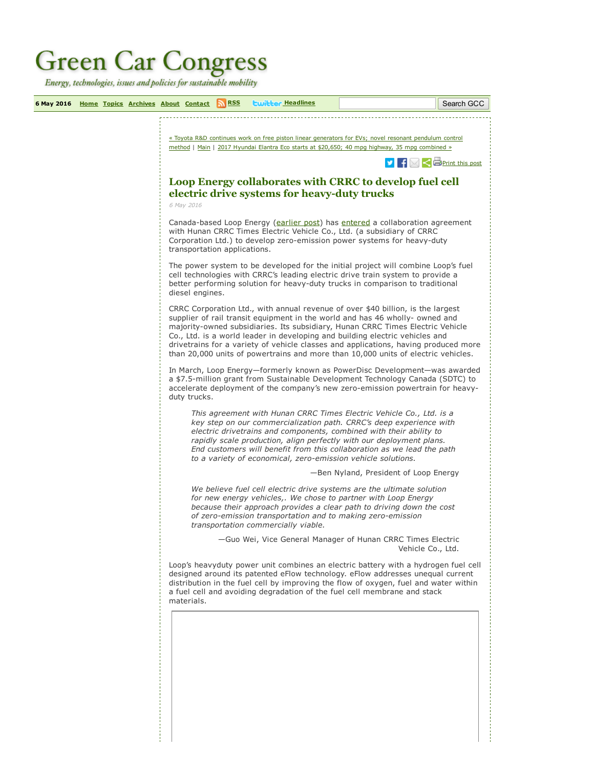## **Green Car Congress**

Energy, technologies, issues and policies for sustainable mobility

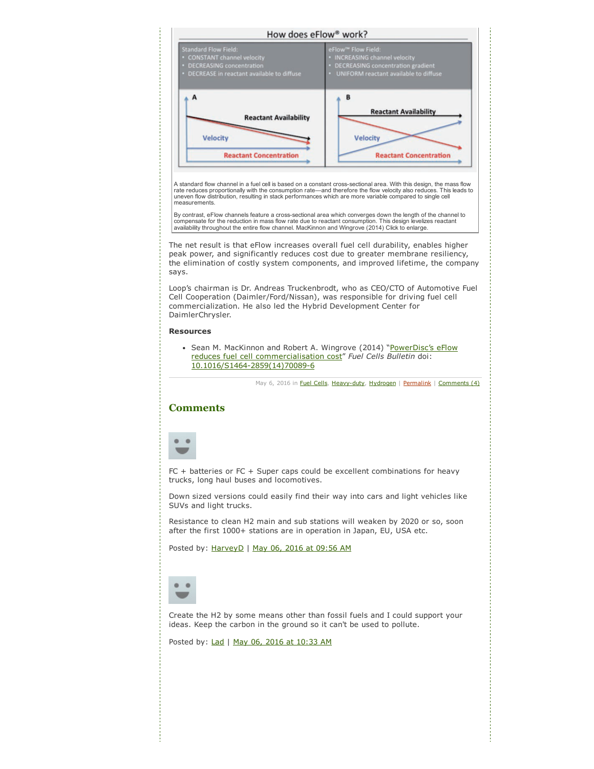<span id="page-1-0"></span>